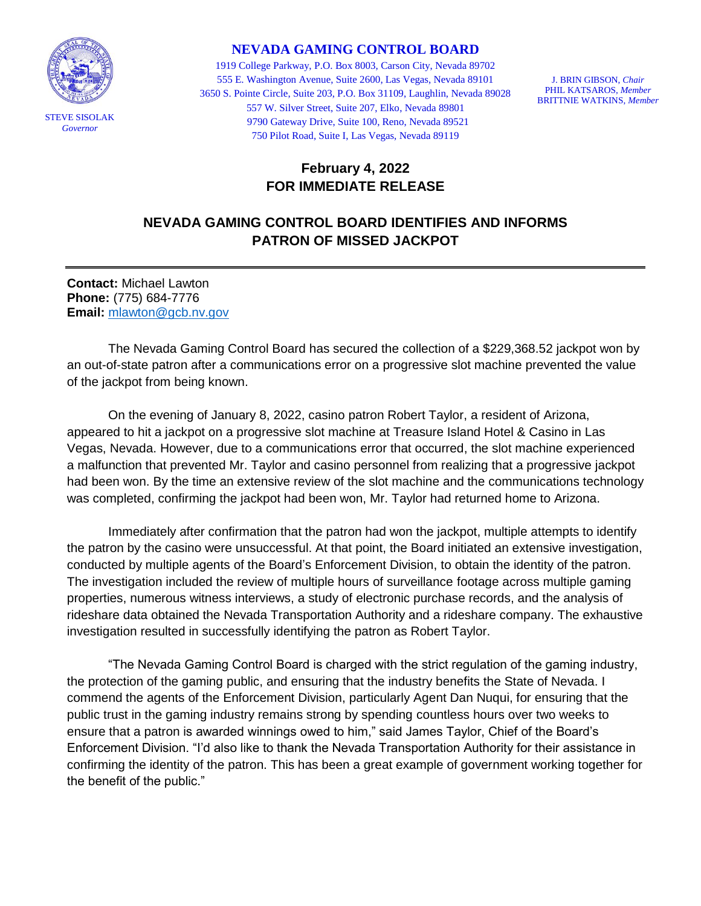

## **NEVADA GAMING CONTROL BOARD**

1919 College Parkway, P.O. Box 8003, Carson City, Nevada 89702 555 E. Washington Avenue, Suite 2600, Las Vegas, Nevada 89101 3650 S. Pointe Circle, Suite 203, P.O. Box 31109, Laughlin, Nevada 89028 557 W. Silver Street, Suite 207, Elko, Nevada 89801 9790 Gateway Drive, Suite 100, Reno, Nevada 89521 750 Pilot Road, Suite I, Las Vegas, Nevada 89119

J. BRIN GIBSON, *Chair* PHIL KATSAROS, *Member* BRITTNIE WATKINS, *Member*

## **February 4, 2022 FOR IMMEDIATE RELEASE**

## **NEVADA GAMING CONTROL BOARD IDENTIFIES AND INFORMS PATRON OF MISSED JACKPOT**

**Contact:** Michael Lawton **Phone:** (775) 684-7776 **Email:** [mlawton@gcb.nv.gov](mailto:mlawton@gcb.nv.gov)

The Nevada Gaming Control Board has secured the collection of a \$229,368.52 jackpot won by an out-of-state patron after a communications error on a progressive slot machine prevented the value of the jackpot from being known.

On the evening of January 8, 2022, casino patron Robert Taylor, a resident of Arizona, appeared to hit a jackpot on a progressive slot machine at Treasure Island Hotel & Casino in Las Vegas, Nevada. However, due to a communications error that occurred, the slot machine experienced a malfunction that prevented Mr. Taylor and casino personnel from realizing that a progressive jackpot had been won. By the time an extensive review of the slot machine and the communications technology was completed, confirming the jackpot had been won, Mr. Taylor had returned home to Arizona.

Immediately after confirmation that the patron had won the jackpot, multiple attempts to identify the patron by the casino were unsuccessful. At that point, the Board initiated an extensive investigation, conducted by multiple agents of the Board's Enforcement Division, to obtain the identity of the patron. The investigation included the review of multiple hours of surveillance footage across multiple gaming properties, numerous witness interviews, a study of electronic purchase records, and the analysis of rideshare data obtained the Nevada Transportation Authority and a rideshare company. The exhaustive investigation resulted in successfully identifying the patron as Robert Taylor.

"The Nevada Gaming Control Board is charged with the strict regulation of the gaming industry, the protection of the gaming public, and ensuring that the industry benefits the State of Nevada. I commend the agents of the Enforcement Division, particularly Agent Dan Nuqui, for ensuring that the public trust in the gaming industry remains strong by spending countless hours over two weeks to ensure that a patron is awarded winnings owed to him," said James Taylor, Chief of the Board's Enforcement Division. "I'd also like to thank the Nevada Transportation Authority for their assistance in confirming the identity of the patron. This has been a great example of government working together for the benefit of the public."